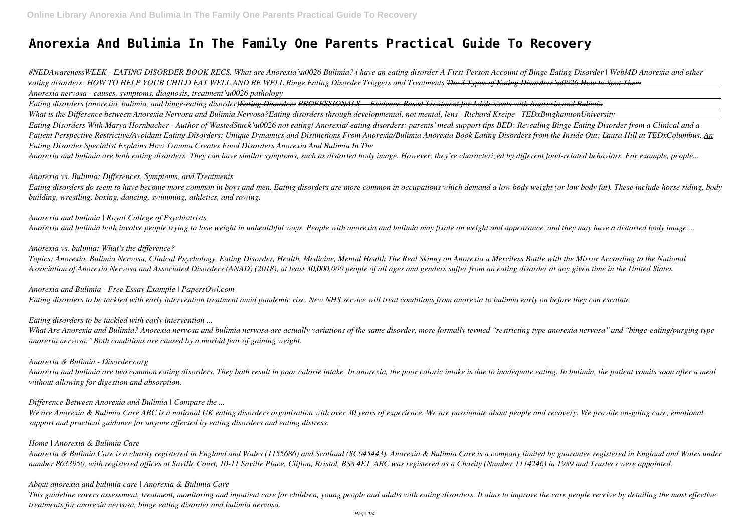# **Anorexia And Bulimia In The Family One Parents Practical Guide To Recovery**

*#NEDAwarenessWEEK - EATING DISORDER BOOK RECS. What are Anorexia \u0026 Bulimia? i have an eating disorder A First-Person Account of Binge Eating Disorder | WebMD Anorexia and other* eating disorders: HOW TO HELP YOUR CHILD EAT WELL AND BE WELL Binge Eating Disorder Triggers and Treatments <del>The 3 Types of Eating Disorders \u0026 How to Spot Them</del> *Anorexia nervosa - causes, symptoms, diagnosis, treatment \u0026 pathology Eating disorders (anorexia, bulimia, and binge-eating disorder)Eating Disorders PROFESSIONALS— Evidence-Based Treatment for Adolescents with Anorexia and Bulimia*

*What is the Difference between Anorexia Nervosa and Bulimia Nervosa?Eating disorders through developmental, not mental, lens | Richard Kreipe | TEDxBinghamtonUniversity Eating Disorders With Marya Hornbacher - Author of WastedStuck \u0026 not eating! Anorexia/ eating disorders: parents' meal support tips BED: Revealing Binge Eating Disorder from a Clinical and a Patient Perspective Restrictive/Avoidant Eating Disorders: Unique Dynamics and Distinctions From Anorexia/Bulimia Anorexia Book Eating Disorders from the Inside Out: Laura Hill at TEDxColumbus. An Eating Disorder Specialist Explains How Trauma Creates Food Disorders Anorexia And Bulimia In The*

*Anorexia and bulimia are both eating disorders. They can have similar symptoms, such as distorted body image. However, they're characterized by different food-related behaviors. For example, people...*

### *Anorexia vs. Bulimia: Differences, Symptoms, and Treatments*

*Eating disorders do seem to have become more common in boys and men. Eating disorders are more common in occupations which demand a low body weight (or low body fat). These include horse riding, body building, wrestling, boxing, dancing, swimming, athletics, and rowing.*

*Anorexia and bulimia | Royal College of Psychiatrists Anorexia and bulimia both involve people trying to lose weight in unhealthful ways. People with anorexia and bulimia may fixate on weight and appearance, and they may have a distorted body image....*

### *Anorexia vs. bulimia: What's the difference?*

*Topics: Anorexia, Bulimia Nervosa, Clinical Psychology, Eating Disorder, Health, Medicine, Mental Health The Real Skinny on Anorexia a Merciless Battle with the Mirror According to the National Association of Anorexia Nervosa and Associated Disorders (ANAD) (2018), at least 30,000,000 people of all ages and genders suffer from an eating disorder at any given time in the United States.*

*Anorexia and Bulimia - Free Essay Example | PapersOwl.com Eating disorders to be tackled with early intervention treatment amid pandemic rise. New NHS service will treat conditions from anorexia to bulimia early on before they can escalate*

# *Eating disorders to be tackled with early intervention ...*

*What Are Anorexia and Bulimia? Anorexia nervosa and bulimia nervosa are actually variations of the same disorder, more formally termed "restricting type anorexia nervosa" and "binge-eating/purging type anorexia nervosa." Both conditions are caused by a morbid fear of gaining weight.*

### *Anorexia & Bulimia - Disorders.org*

*Anorexia and bulimia are two common eating disorders. They both result in poor calorie intake. In anorexia, the poor caloric intake is due to inadequate eating. In bulimia, the patient vomits soon after a meal without allowing for digestion and absorption.*

# *Difference Between Anorexia and Bulimia | Compare the ...*

*We are Anorexia & Bulimia Care ABC is a national UK eating disorders organisation with over 30 years of experience. We are passionate about people and recovery. We provide on-going care, emotional support and practical guidance for anyone affected by eating disorders and eating distress.*

### *Home | Anorexia & Bulimia Care*

*Anorexia & Bulimia Care is a charity registered in England and Wales (1155686) and Scotland (SC045443). Anorexia & Bulimia Care is a company limited by guarantee registered in England and Wales under number 8633950, with registered offices at Saville Court, 10-11 Saville Place, Clifton, Bristol, BS8 4EJ. ABC was registered as a Charity (Number 1114246) in 1989 and Trustees were appointed.*

# *About anorexia and bulimia care | Anorexia & Bulimia Care*

*This guideline covers assessment, treatment, monitoring and inpatient care for children, young people and adults with eating disorders. It aims to improve the care people receive by detailing the most effective treatments for anorexia nervosa, binge eating disorder and bulimia nervosa.*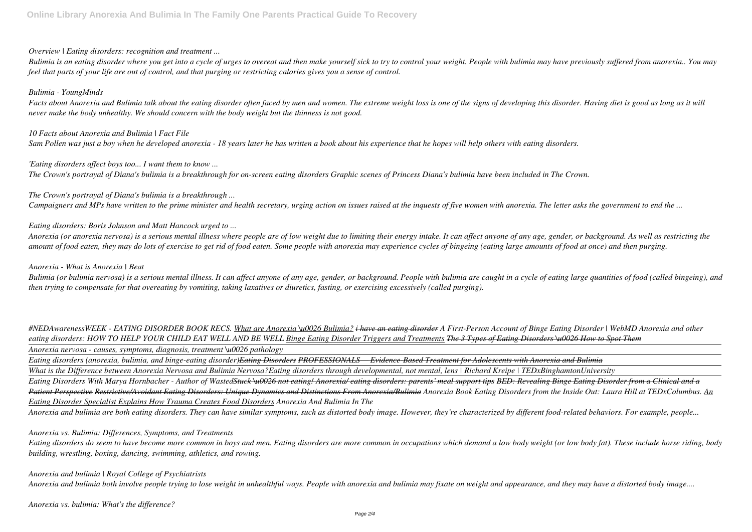# *Overview | Eating disorders: recognition and treatment ...*

*Bulimia is an eating disorder where you get into a cycle of urges to overeat and then make yourself sick to try to control your weight. People with bulimia may have previously suffered from anorexia.. You may feel that parts of your life are out of control, and that purging or restricting calories gives you a sense of control.*

Facts about Anorexia and Bulimia talk about the eating disorder often faced by men and women. The extreme weight loss is one of the signs of developing this disorder. Having diet is good as long as it will *never make the body unhealthy. We should concern with the body weight but the thinness is not good.*

# *Bulimia - YoungMinds*

### *10 Facts about Anorexia and Bulimia | Fact File*

*Sam Pollen was just a boy when he developed anorexia - 18 years later he has written a book about his experience that he hopes will help others with eating disorders.*

### *'Eating disorders affect boys too... I want them to know ...*

*The Crown's portrayal of Diana's bulimia is a breakthrough for on-screen eating disorders Graphic scenes of Princess Diana's bulimia have been included in The Crown.*

*The Crown's portrayal of Diana's bulimia is a breakthrough ...*

*Campaigners and MPs have written to the prime minister and health secretary, urging action on issues raised at the inquests of five women with anorexia. The letter asks the government to end the ...*

# *Eating disorders: Boris Johnson and Matt Hancock urged to ...*

*Anorexia (or anorexia nervosa) is a serious mental illness where people are of low weight due to limiting their energy intake. It can affect anyone of any age, gender, or background. As well as restricting the amount of food eaten, they may do lots of exercise to get rid of food eaten. Some people with anorexia may experience cycles of bingeing (eating large amounts of food at once) and then purging.*

### *Anorexia - What is Anorexia | Beat*

*Bulimia (or bulimia nervosa) is a serious mental illness. It can affect anyone of any age, gender, or background. People with bulimia are caught in a cycle of eating large quantities of food (called bingeing), and then trying to compensate for that overeating by vomiting, taking laxatives or diuretics, fasting, or exercising excessively (called purging).*

*#NEDAwarenessWEEK - EATING DISORDER BOOK RECS. What are Anorexia \u0026 Bulimia? i have an eating disorder A First-Person Account of Binge Eating Disorder | WebMD Anorexia and other* eating disorders: HOW TO HELP YOUR CHILD EAT WELL AND BE WELL Binge Eating Disorder Triggers and Treatments <del>The 3 Types of Eating Disorders \u0026 How to Spot Them</del> *Anorexia nervosa - causes, symptoms, diagnosis, treatment \u0026 pathology*

*Eating disorders (anorexia, bulimia, and binge-eating disorder)Eating Disorders PROFESSIONALS— Evidence-Based Treatment for Adolescents with Anorexia and Bulimia What is the Difference between Anorexia Nervosa and Bulimia Nervosa?Eating disorders through developmental, not mental, lens | Richard Kreipe | TEDxBinghamtonUniversity Eating Disorders With Marya Hornbacher - Author of WastedStuck \u0026 not eating! Anorexia/ eating disorders: parents' meal support tips BED: Revealing Binge Eating Disorder from a Clinical and a Patient Perspective Restrictive/Avoidant Eating Disorders: Unique Dynamics and Distinctions From Anorexia/Bulimia Anorexia Book Eating Disorders from the Inside Out: Laura Hill at TEDxColumbus. An Eating Disorder Specialist Explains How Trauma Creates Food Disorders Anorexia And Bulimia In The*

*Anorexia and bulimia are both eating disorders. They can have similar symptoms, such as distorted body image. However, they're characterized by different food-related behaviors. For example, people...*

# *Anorexia vs. Bulimia: Differences, Symptoms, and Treatments*

*Eating disorders do seem to have become more common in boys and men. Eating disorders are more common in occupations which demand a low body weight (or low body fat). These include horse riding, body building, wrestling, boxing, dancing, swimming, athletics, and rowing.*

# *Anorexia and bulimia | Royal College of Psychiatrists*

*Anorexia and bulimia both involve people trying to lose weight in unhealthful ways. People with anorexia and bulimia may fixate on weight and appearance, and they may have a distorted body image....*

| <del>ıd Bulimia</del> |  |
|-----------------------|--|
| tonHniversity         |  |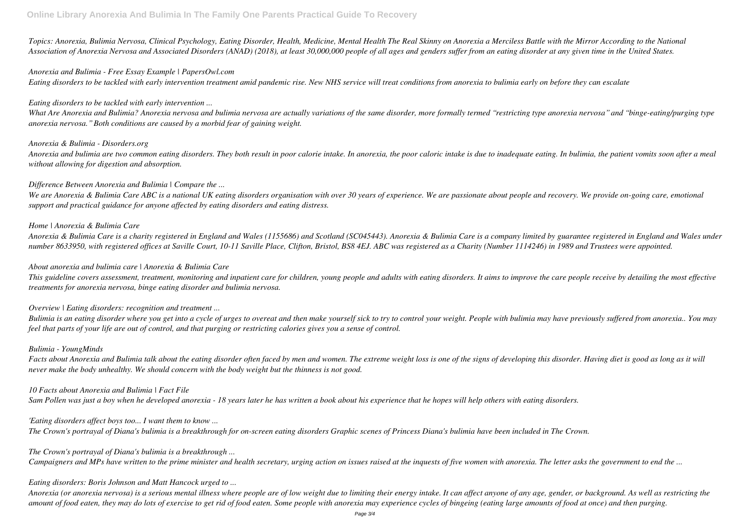*Topics: Anorexia, Bulimia Nervosa, Clinical Psychology, Eating Disorder, Health, Medicine, Mental Health The Real Skinny on Anorexia a Merciless Battle with the Mirror According to the National Association of Anorexia Nervosa and Associated Disorders (ANAD) (2018), at least 30,000,000 people of all ages and genders suffer from an eating disorder at any given time in the United States.*

### *Anorexia and Bulimia - Free Essay Example | PapersOwl.com*

*Eating disorders to be tackled with early intervention treatment amid pandemic rise. New NHS service will treat conditions from anorexia to bulimia early on before they can escalate*

### *Eating disorders to be tackled with early intervention ...*

*What Are Anorexia and Bulimia? Anorexia nervosa and bulimia nervosa are actually variations of the same disorder, more formally termed "restricting type anorexia nervosa" and "binge-eating/purging type anorexia nervosa." Both conditions are caused by a morbid fear of gaining weight.*

### *Anorexia & Bulimia - Disorders.org*

*Anorexia and bulimia are two common eating disorders. They both result in poor calorie intake. In anorexia, the poor caloric intake is due to inadequate eating. In bulimia, the patient vomits soon after a meal without allowing for digestion and absorption.*

# *Difference Between Anorexia and Bulimia | Compare the ...*

*We are Anorexia & Bulimia Care ABC is a national UK eating disorders organisation with over 30 years of experience. We are passionate about people and recovery. We provide on-going care, emotional support and practical guidance for anyone affected by eating disorders and eating distress.*

Facts about Anorexia and Bulimia talk about the eating disorder often faced by men and women. The extreme weight loss is one of the signs of developing this disorder. Having diet is good as long as it will *never make the body unhealthy. We should concern with the body weight but the thinness is not good.*

### *Home | Anorexia & Bulimia Care*

*Anorexia & Bulimia Care is a charity registered in England and Wales (1155686) and Scotland (SC045443). Anorexia & Bulimia Care is a company limited by guarantee registered in England and Wales under number 8633950, with registered offices at Saville Court, 10-11 Saville Place, Clifton, Bristol, BS8 4EJ. ABC was registered as a Charity (Number 1114246) in 1989 and Trustees were appointed.*

# *About anorexia and bulimia care | Anorexia & Bulimia Care*

*This guideline covers assessment, treatment, monitoring and inpatient care for children, young people and adults with eating disorders. It aims to improve the care people receive by detailing the most effective treatments for anorexia nervosa, binge eating disorder and bulimia nervosa.*

# *Overview | Eating disorders: recognition and treatment ...*

*Bulimia is an eating disorder where you get into a cycle of urges to overeat and then make yourself sick to try to control your weight. People with bulimia may have previously suffered from anorexia.. You may feel that parts of your life are out of control, and that purging or restricting calories gives you a sense of control.*

# *Bulimia - YoungMinds*

# *10 Facts about Anorexia and Bulimia | Fact File*

*Sam Pollen was just a boy when he developed anorexia - 18 years later he has written a book about his experience that he hopes will help others with eating disorders.*

# *'Eating disorders affect boys too... I want them to know ...*

*The Crown's portrayal of Diana's bulimia is a breakthrough for on-screen eating disorders Graphic scenes of Princess Diana's bulimia have been included in The Crown.*

# *The Crown's portrayal of Diana's bulimia is a breakthrough ...*

*Campaigners and MPs have written to the prime minister and health secretary, urging action on issues raised at the inquests of five women with anorexia. The letter asks the government to end the ...*

# *Eating disorders: Boris Johnson and Matt Hancock urged to ...*

*Anorexia (or anorexia nervosa) is a serious mental illness where people are of low weight due to limiting their energy intake. It can affect anyone of any age, gender, or background. As well as restricting the amount of food eaten, they may do lots of exercise to get rid of food eaten. Some people with anorexia may experience cycles of bingeing (eating large amounts of food at once) and then purging.*